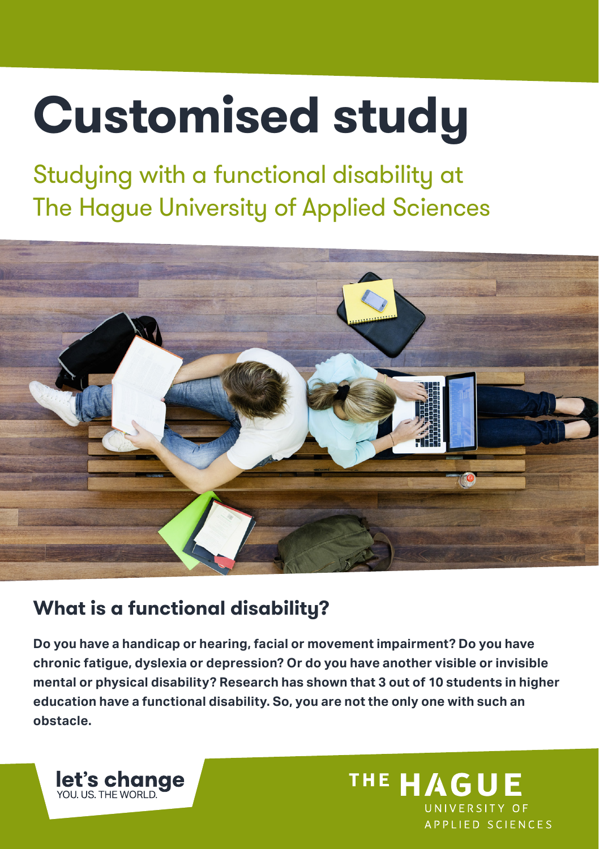# **Customised study**

Studying with a functional disability at The Hague University of Applied Sciences



# **What is a functional disability?**

**Do you have a handicap or hearing, facial or movement impairment? Do you have chronic fatigue, dyslexia or depression? Or do you have another visible or invisible mental or physical disability? Research has shown that 3 out of 10 students in higher education have a functional disability. So, you are not the only one with such an obstacle.**